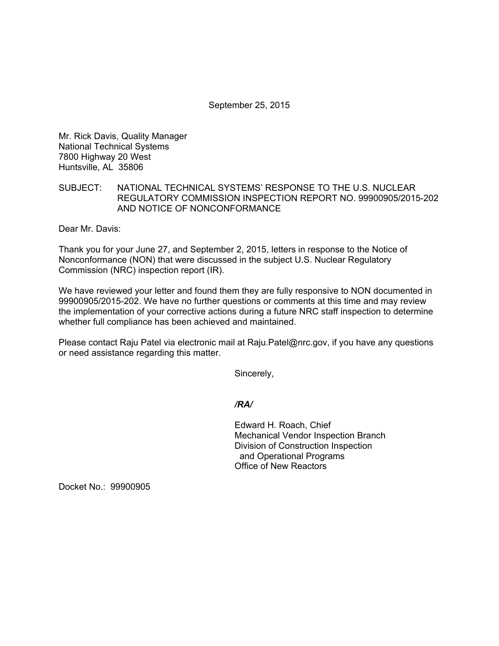September 25, 2015

Mr. Rick Davis, Quality Manager National Technical Systems 7800 Highway 20 West Huntsville, AL 35806

## SUBJECT: NATIONAL TECHNICAL SYSTEMS' RESPONSE TO THE U.S. NUCLEAR REGULATORY COMMISSION INSPECTION REPORT NO. 99900905/2015-202 AND NOTICE OF NONCONFORMANCE

Dear Mr. Davis:

Thank you for your June 27, and September 2, 2015, letters in response to the Notice of Nonconformance (NON) that were discussed in the subject U.S. Nuclear Regulatory Commission (NRC) inspection report (IR).

We have reviewed your letter and found them they are fully responsive to NON documented in 99900905/2015-202. We have no further questions or comments at this time and may review the implementation of your corrective actions during a future NRC staff inspection to determine whether full compliance has been achieved and maintained.

Please contact Raju Patel via electronic mail at Raju.Patel@nrc.gov, if you have any questions or need assistance regarding this matter.

Sincerely,

*/RA/* 

Edward H. Roach, Chief Mechanical Vendor Inspection Branch Division of Construction Inspection and Operational Programs Office of New Reactors

Docket No.: 99900905